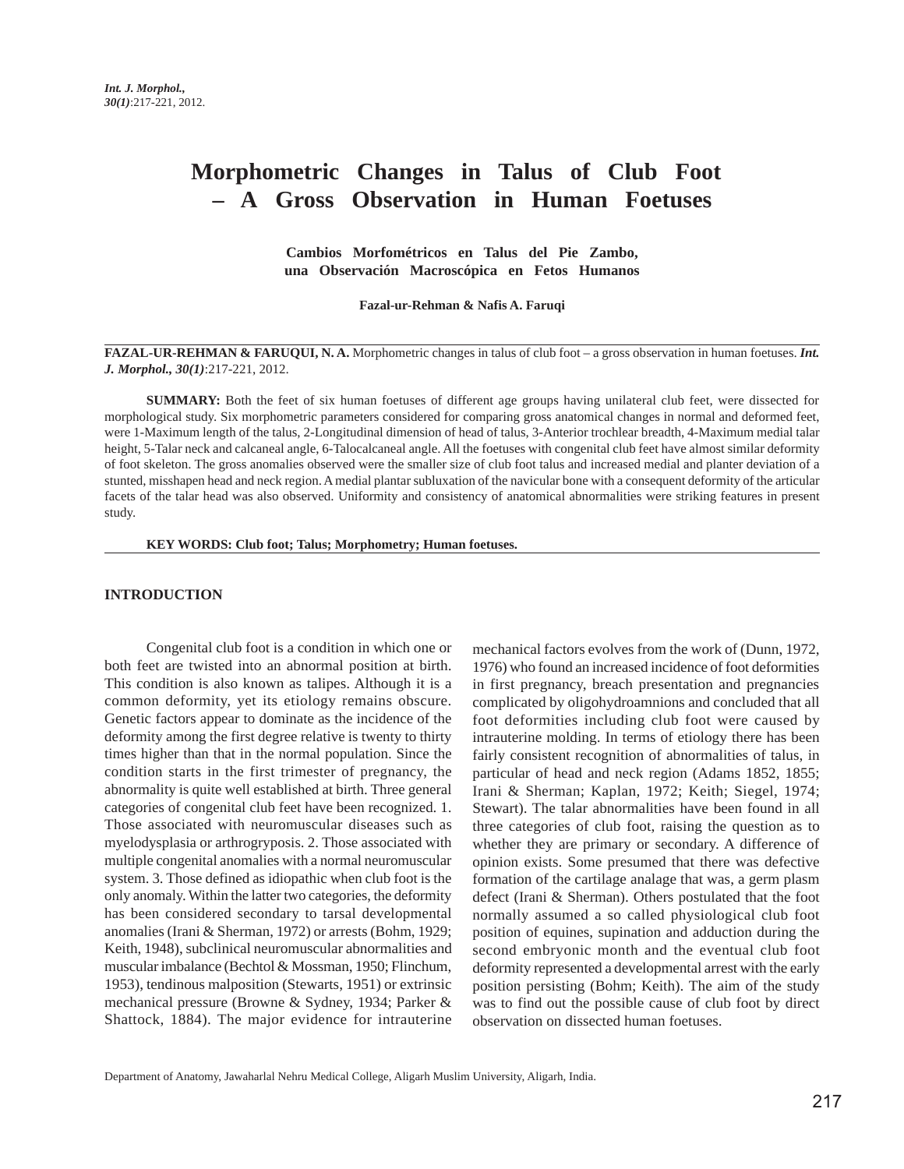# **Morphometric Changes in Talus of Club Foot – A Gross Observation in Human Foetuses**

**Cambios Morfométricos en Talus del Pie Zambo, una Observación Macroscópica en Fetos Humanos**

**Fazal-ur-Rehman & Nafis A. Faruqi**

**FAZAL-UR-REHMAN & FARUQUI, N. A.** Morphometric changes in talus of club foot – a gross observation in human foetuses. *Int. J. Morphol., 30(1)*:217-221, 2012.

**SUMMARY:** Both the feet of six human foetuses of different age groups having unilateral club feet, were dissected for morphological study. Six morphometric parameters considered for comparing gross anatomical changes in normal and deformed feet, were 1-Maximum length of the talus, 2-Longitudinal dimension of head of talus, 3-Anterior trochlear breadth, 4-Maximum medial talar height, 5-Talar neck and calcaneal angle, 6-Talocalcaneal angle. All the foetuses with congenital club feet have almost similar deformity of foot skeleton. The gross anomalies observed were the smaller size of club foot talus and increased medial and planter deviation of a stunted, misshapen head and neck region. A medial plantar subluxation of the navicular bone with a consequent deformity of the articular facets of the talar head was also observed. Uniformity and consistency of anatomical abnormalities were striking features in present study.

**KEY WORDS: Club foot; Talus; Morphometry; Human foetuses.**

#### **INTRODUCTION**

Congenital club foot is a condition in which one or both feet are twisted into an abnormal position at birth. This condition is also known as talipes. Although it is a common deformity, yet its etiology remains obscure. Genetic factors appear to dominate as the incidence of the deformity among the first degree relative is twenty to thirty times higher than that in the normal population. Since the condition starts in the first trimester of pregnancy, the abnormality is quite well established at birth. Three general categories of congenital club feet have been recognized. 1. Those associated with neuromuscular diseases such as myelodysplasia or arthrogryposis. 2. Those associated with multiple congenital anomalies with a normal neuromuscular system. 3. Those defined as idiopathic when club foot is the only anomaly. Within the latter two categories, the deformity has been considered secondary to tarsal developmental anomalies (Irani & Sherman, 1972) or arrests (Bohm, 1929; Keith, 1948), subclinical neuromuscular abnormalities and muscular imbalance (Bechtol & Mossman, 1950; Flinchum, 1953), tendinous malposition (Stewarts, 1951) or extrinsic mechanical pressure (Browne & Sydney, 1934; Parker & Shattock, 1884). The major evidence for intrauterine

mechanical factors evolves from the work of (Dunn, 1972, 1976) who found an increased incidence of foot deformities in first pregnancy, breach presentation and pregnancies complicated by oligohydroamnions and concluded that all foot deformities including club foot were caused by intrauterine molding. In terms of etiology there has been fairly consistent recognition of abnormalities of talus, in particular of head and neck region (Adams 1852, 1855; Irani & Sherman; Kaplan, 1972; Keith; Siegel, 1974; Stewart). The talar abnormalities have been found in all three categories of club foot, raising the question as to whether they are primary or secondary. A difference of opinion exists. Some presumed that there was defective formation of the cartilage analage that was, a germ plasm defect (Irani & Sherman). Others postulated that the foot normally assumed a so called physiological club foot position of equines, supination and adduction during the second embryonic month and the eventual club foot deformity represented a developmental arrest with the early position persisting (Bohm; Keith). The aim of the study was to find out the possible cause of club foot by direct observation on dissected human foetuses.

Department of Anatomy, Jawaharlal Nehru Medical College, Aligarh Muslim University, Aligarh, India.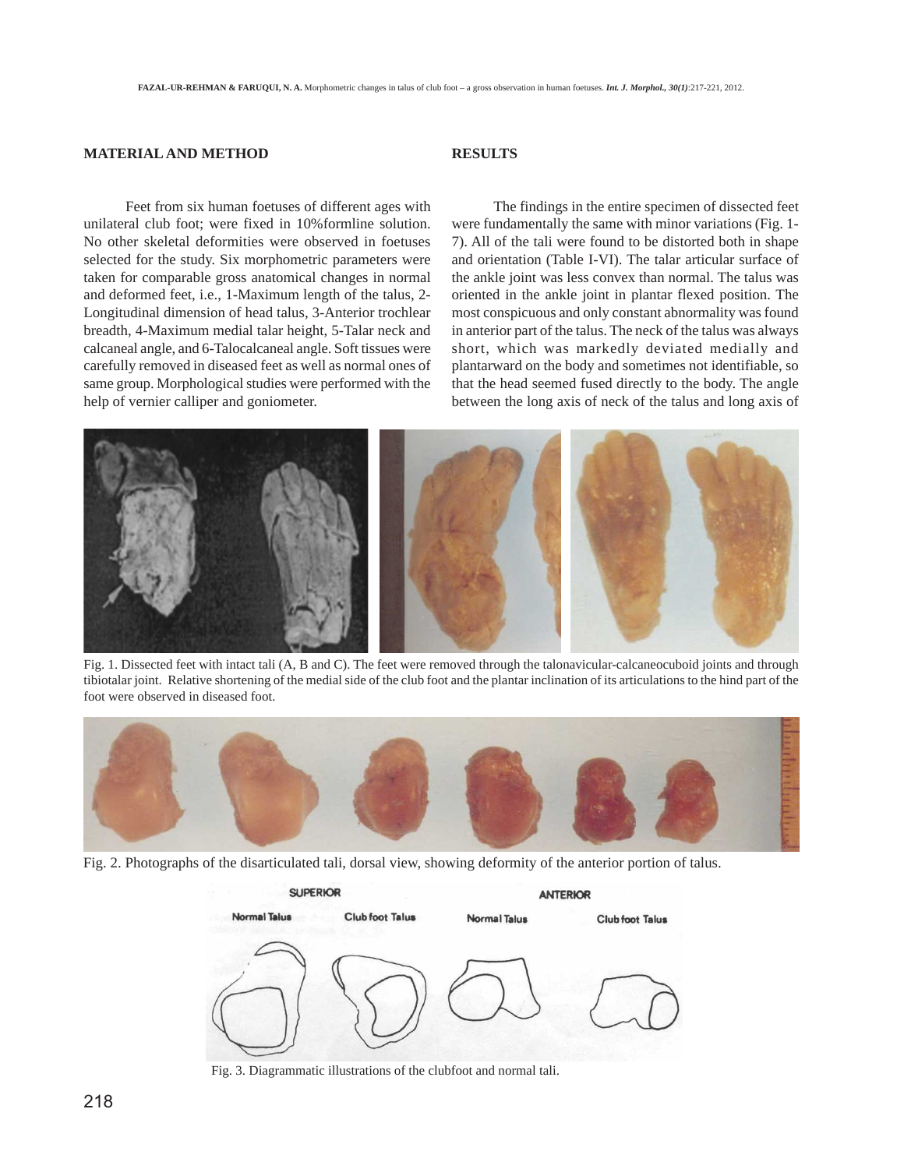### **MATERIAL AND METHOD**

# **RESULTS**

Feet from six human foetuses of different ages with unilateral club foot; were fixed in 10%formline solution. No other skeletal deformities were observed in foetuses selected for the study. Six morphometric parameters were taken for comparable gross anatomical changes in normal and deformed feet, i.e., 1-Maximum length of the talus, 2- Longitudinal dimension of head talus, 3-Anterior trochlear breadth, 4-Maximum medial talar height, 5-Talar neck and calcaneal angle, and 6-Talocalcaneal angle. Soft tissues were carefully removed in diseased feet as well as normal ones of same group. Morphological studies were performed with the help of vernier calliper and goniometer.

The findings in the entire specimen of dissected feet were fundamentally the same with minor variations (Fig. 1- 7). All of the tali were found to be distorted both in shape and orientation (Table I-VI). The talar articular surface of the ankle joint was less convex than normal. The talus was oriented in the ankle joint in plantar flexed position. The most conspicuous and only constant abnormality was found in anterior part of the talus. The neck of the talus was always short, which was markedly deviated medially and plantarward on the body and sometimes not identifiable, so that the head seemed fused directly to the body. The angle between the long axis of neck of the talus and long axis of



Fig. 1. Dissected feet with intact tali (A, B and C). The feet were removed through the talonavicular-calcaneocuboid joints and through tibiotalar joint. Relative shortening of the medial side of the club foot and the plantar inclination of its articulations to the hind part of the foot were observed in diseased foot.



Fig. 2. Photographs of the disarticulated tali, dorsal view, showing deformity of the anterior portion of talus.



Fig. 3. Diagrammatic illustrations of the clubfoot and normal tali.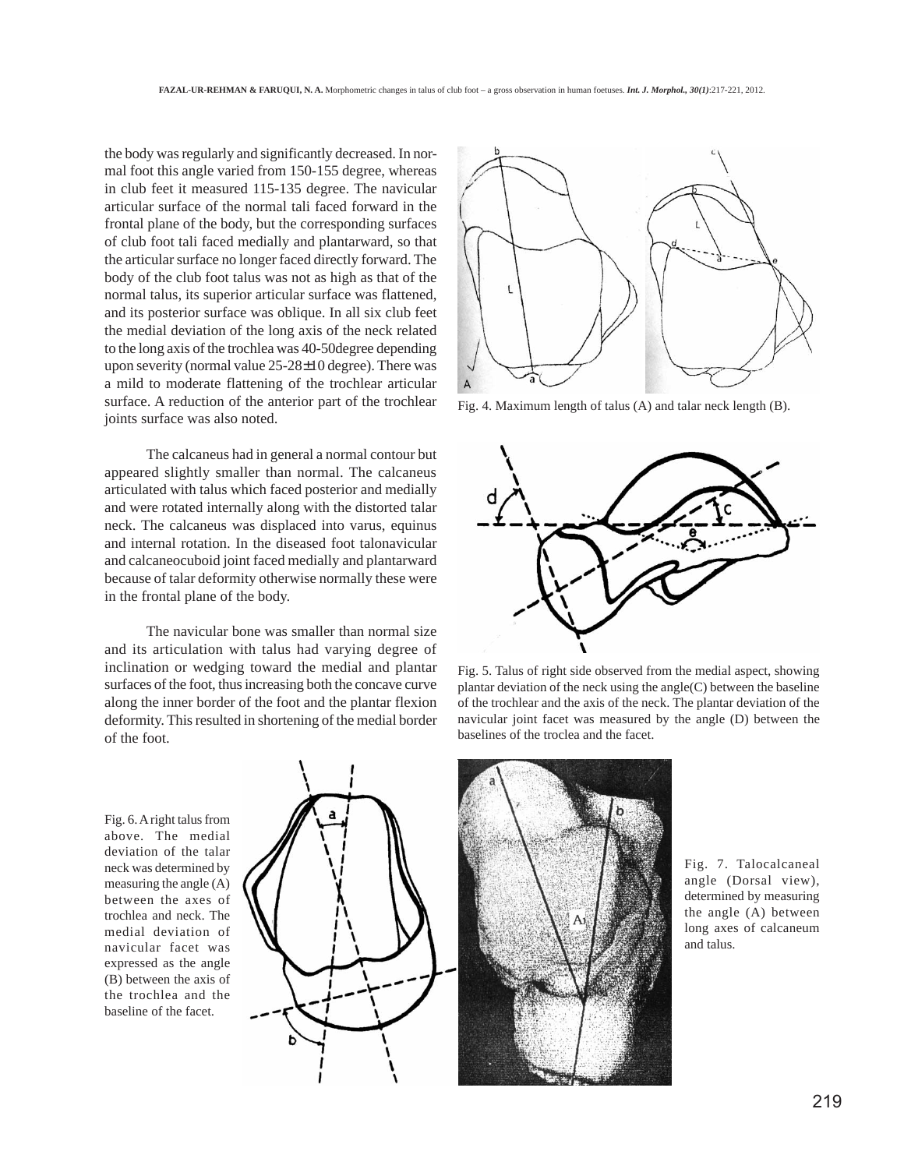the body was regularly and significantly decreased. In normal foot this angle varied from 150-155 degree, whereas in club feet it measured 115-135 degree. The navicular articular surface of the normal tali faced forward in the frontal plane of the body, but the corresponding surfaces of club foot tali faced medially and plantarward, so that the articular surface no longer faced directly forward. The body of the club foot talus was not as high as that of the normal talus, its superior articular surface was flattened, and its posterior surface was oblique. In all six club feet the medial deviation of the long axis of the neck related to the long axis of the trochlea was 40-50degree depending upon severity (normal value 25-28±10 degree). There was a mild to moderate flattening of the trochlear articular surface. A reduction of the anterior part of the trochlear joints surface was also noted.

The calcaneus had in general a normal contour but appeared slightly smaller than normal. The calcaneus articulated with talus which faced posterior and medially and were rotated internally along with the distorted talar neck. The calcaneus was displaced into varus, equinus and internal rotation. In the diseased foot talonavicular and calcaneocuboid joint faced medially and plantarward because of talar deformity otherwise normally these were in the frontal plane of the body.

The navicular bone was smaller than normal size and its articulation with talus had varying degree of inclination or wedging toward the medial and plantar surfaces of the foot, thus increasing both the concave curve along the inner border of the foot and the plantar flexion deformity. This resulted in shortening of the medial border of the foot.



Fig. 4. Maximum length of talus (A) and talar neck length (B).



Fig. 5. Talus of right side observed from the medial aspect, showing plantar deviation of the neck using the angle(C) between the baseline of the trochlear and the axis of the neck. The plantar deviation of the navicular joint facet was measured by the angle (D) between the baselines of the troclea and the facet.

Fig. 6. A right talus from above. The medial deviation of the talar neck was determined by measuring the angle (A) between the axes of trochlea and neck. The medial deviation of navicular facet was expressed as the angle (B) between the axis of the trochlea and the baseline of the facet.





Fig. 7. Talocalcaneal angle (Dorsal view), determined by measuring the angle (A) between long axes of calcaneum and talus.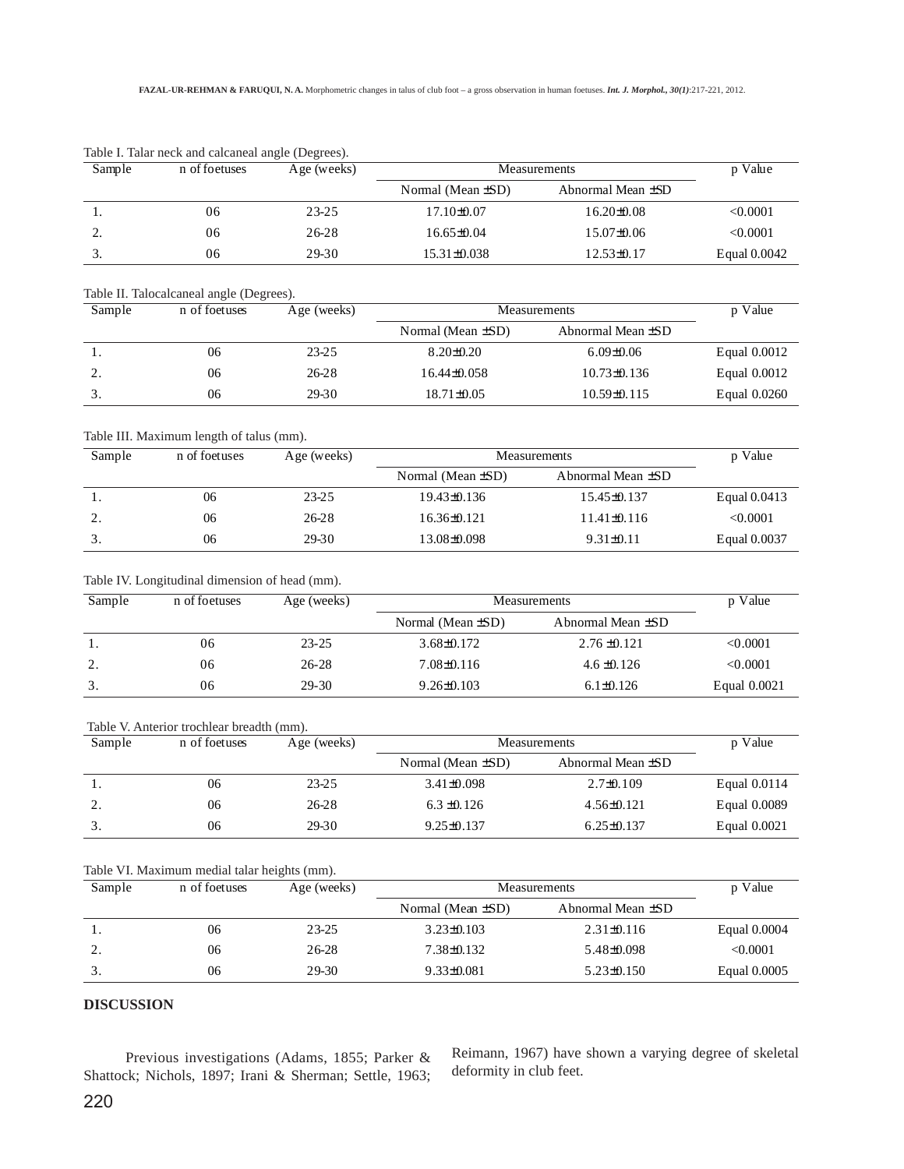| Sample | n of foetuses | Age (weeks) | Measurements            | p Value                |              |
|--------|---------------|-------------|-------------------------|------------------------|--------------|
|        |               |             | Normal (Mean $\pm SD$ ) | Abnormal Mean $\pm$ SD |              |
| . .    | 06            | 23-25       | 17.10±0.07              | $16.20 \pm 0.08$       | < 0.0001     |
| ٠.     | 06            | $26 - 28$   | $16.65\pm0.04$          | $15.07\pm0.06$         | < 0.0001     |
| ິ.     | 06            | 29-30       | 15.31±0.038             | 12.53±0.17             | Equal 0.0042 |

Table I. Talar neck and calcaneal angle (Degrees).

#### Table II. Talocalcaneal angle (Degrees).

| Sample         | n of foetuses | Age (weeks) | Measurements            | p Value                |              |
|----------------|---------------|-------------|-------------------------|------------------------|--------------|
|                |               |             | Normal (Mean $\pm SD$ ) | Abnormal Mean $\pm SD$ |              |
| . .            | 06            | $23 - 25$   | $8.20 \pm 0.20$         | $6.09 \pm 0.06$        | Equal 0.0012 |
| $\gamma$<br>٠. | 06            | 26-28       | $16.44\pm0.058$         | $10.73\pm0.136$        | Equal 0.0012 |
|                | 06            | 29-30       | $18.71 \pm 0.05$        | $10.59\pm0.115$        | Equal 0.0260 |

#### Table III. Maximum length of talus (mm).

| Sample     | n of foetuses | Age (weeks) | <b>Measurements</b>     |                        | p Value      |
|------------|---------------|-------------|-------------------------|------------------------|--------------|
|            |               |             | Normal (Mean $\pm SD$ ) | Abnormal Mean $\pm SD$ |              |
|            | 06            | 23-25       | 19.43±0.136             | $15.45\pm0.137$        | Equal 0.0413 |
| , <u>,</u> | 06            | 26-28       | 16.36±0.121             | $11.41\pm0.116$        | < 0.0001     |
|            | 06            | 29-30       | 13.08±0.098             | $9.31 \pm 0.11$        | Equal 0.0037 |

#### Table IV. Longitudinal dimension of head (mm).

| Sample | n of foetuses | Age (weeks) | Measurements            |                        | p Value      |
|--------|---------------|-------------|-------------------------|------------------------|--------------|
|        |               |             | Normal (Mean $\pm SD$ ) | Abnormal Mean $\pm SD$ |              |
|        | 06            | $23 - 25$   | $3.68\pm0.172$          | $2.76 \pm 0.121$       | < 0.0001     |
| 2.     | 06            | $26 - 28$   | 7.08±0.116              | $4.6 \pm 0.126$        | < 0.0001     |
| 3.     | 06            | 29-30       | $9.26 \pm 0.103$        | $6.1 \pm 0.126$        | Equal 0.0021 |

#### Table V. Anterior trochlear breadth (mm).

| Sample | n of foetuses | Age (weeks) | Measurements            |                        | p Value      |
|--------|---------------|-------------|-------------------------|------------------------|--------------|
|        |               |             | Normal (Mean $\pm SD$ ) | Abnormal Mean $\pm SD$ |              |
|        | 06            | $23 - 25$   | $3.41\pm0.098$          | $2.7\pm 0.109$         | Equal 0.0114 |
| 2.     | 06            | 26-28       | $6.3 \pm 0.126$         | $4.56 \pm 0.121$       | Equal 0.0089 |
|        | 06            | 29-30       | $9.25 \pm 0.137$        | $6.25 \pm 0.137$       | Equal 0.0021 |

# Table VI. Maximum medial talar heights (mm).

| Sample | n of foetuses | Age (weeks) | Measurements            |                        | p Value      |
|--------|---------------|-------------|-------------------------|------------------------|--------------|
|        |               |             | Normal (Mean $\pm SD$ ) | Abnormal Mean $\pm SD$ |              |
|        | 06            | $23 - 25$   | $3.23 \pm 0.103$        | $2.31\pm0.116$         | Equal 0.0004 |
| ٠.     | 06            | 26-28       | 7.38±0.132              | 5.48±0.098             | < 0.0001     |
| J.     | 06            | 29-30       | $9.33 \pm 0.081$        | $5.23 \pm 0.150$       | Equal 0.0005 |

#### **DISCUSSION**

Previous investigations (Adams, 1855; Parker & Shattock; Nichols, 1897; Irani & Sherman; Settle, 1963; Reimann, 1967) have shown a varying degree of skeletal deformity in club feet.